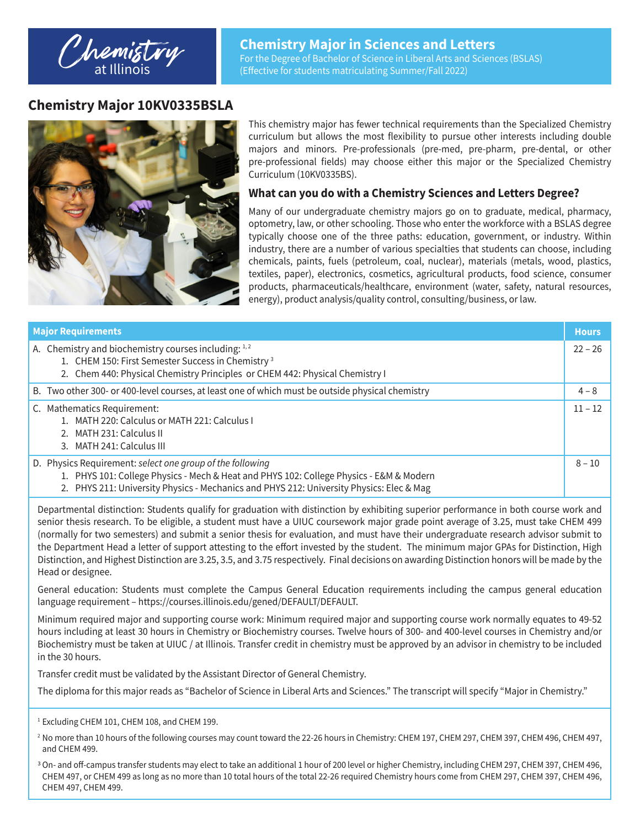## **Chemistry Major 10KV0335BSLA**



This chemistry major has fewer technical requirements than the Specialized Chemistry curriculum but allows the most flexibility to pursue other interests including double majors and minors. Pre-professionals (pre-med, pre-pharm, pre-dental, or other pre-professional fields) may choose either this major or the Specialized Chemistry Curriculum (10KV0335BS).

## **What can you do with a Chemistry Sciences and Letters Degree?**

Many of our undergraduate chemistry majors go on to graduate, medical, pharmacy, optometry, law, or other schooling. Those who enter the workforce with a BSLAS degree typically choose one of the three paths: education, government, or industry. Within industry, there are a number of various specialties that students can choose, including chemicals, paints, fuels (petroleum, coal, nuclear), materials (metals, wood, plastics, textiles, paper), electronics, cosmetics, agricultural products, food science, consumer products, pharmaceuticals/healthcare, environment (water, safety, natural resources, energy), product analysis/quality control, consulting/business, or law.

| <b>Major Requirements</b> |                                                                                                                                                                                                                                                  |           |  |  |
|---------------------------|--------------------------------------------------------------------------------------------------------------------------------------------------------------------------------------------------------------------------------------------------|-----------|--|--|
|                           | A. Chemistry and biochemistry courses including: 1,2<br>1. CHEM 150: First Semester Success in Chemistry <sup>3</sup><br>2. Chem 440: Physical Chemistry Principles or CHEM 442: Physical Chemistry I                                            | $22 - 26$ |  |  |
|                           | B. Two other 300- or 400-level courses, at least one of which must be outside physical chemistry                                                                                                                                                 | $4 - 8$   |  |  |
|                           | C. Mathematics Requirement:<br>1. MATH 220: Calculus or MATH 221: Calculus I<br>2. MATH 231: Calculus II<br>3. MATH 241: Calculus III                                                                                                            | $11 - 12$ |  |  |
|                           | D. Physics Requirement: select one group of the following<br>1. PHYS 101: College Physics - Mech & Heat and PHYS 102: College Physics - E&M & Modern<br>2. PHYS 211: University Physics - Mechanics and PHYS 212: University Physics: Elec & Mag | $8 - 10$  |  |  |

Departmental distinction: Students qualify for graduation with distinction by exhibiting superior performance in both course work and senior thesis research. To be eligible, a student must have a UIUC coursework major grade point average of 3.25, must take CHEM 499 (normally for two semesters) and submit a senior thesis for evaluation, and must have their undergraduate research advisor submit to the Department Head a letter of support attesting to the effort invested by the student. The minimum major GPAs for Distinction, High Distinction, and Highest Distinction are 3.25, 3.5, and 3.75 respectively. Final decisions on awarding Distinction honors will be made by the Head or designee.

General education: Students must complete the Campus General Education requirements including the campus general education language requirement – https://courses.illinois.edu/gened/DEFAULT/DEFAULT.

Minimum required major and supporting course work: Minimum required major and supporting course work normally equates to 49-52 hours including at least 30 hours in Chemistry or Biochemistry courses. Twelve hours of 300- and 400-level courses in Chemistry and/or Biochemistry must be taken at UIUC / at Illinois. Transfer credit in chemistry must be approved by an advisor in chemistry to be included in the 30 hours.

Transfer credit must be validated by the Assistant Director of General Chemistry.

The diploma for this major reads as "Bachelor of Science in Liberal Arts and Sciences." The transcript will specify "Major in Chemistry."

<sup>&</sup>lt;sup>1</sup> Excluding CHEM 101, CHEM 108, and CHEM 199.

<sup>&</sup>lt;sup>2</sup> No more than 10 hours of the following courses may count toward the 22-26 hours in Chemistry: CHEM 197, CHEM 297, CHEM 397, CHEM 496, CHEM 497, and CHEM 499.

<sup>3</sup>On- and off-campus transfer students may elect to take an additional 1 hour of 200 level or higher Chemistry, including CHEM 297, CHEM 397, CHEM 496, CHEM 497, or CHEM 499 as long as no more than 10 total hours of the total 22-26 required Chemistry hours come from CHEM 297, CHEM 397, CHEM 496, CHEM 497, CHEM 499.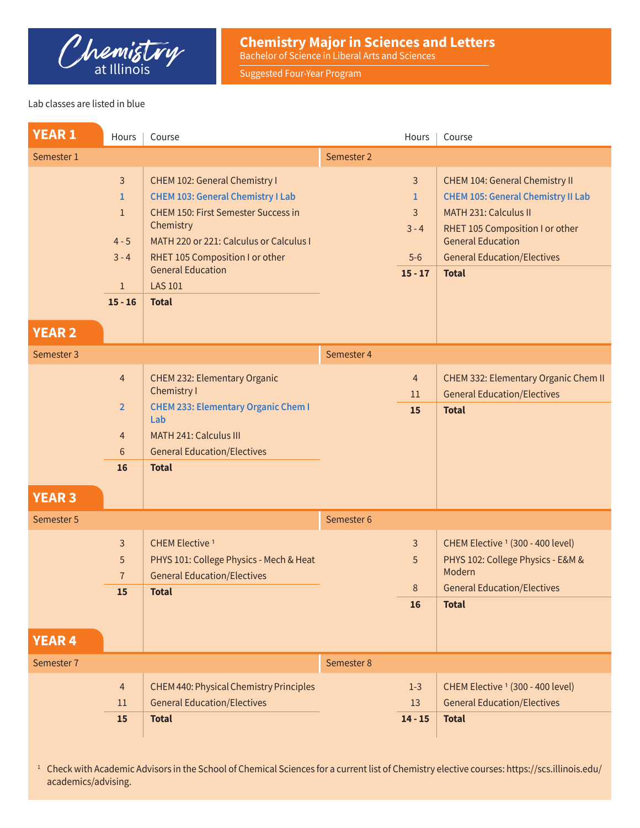

**Chemistry Major in Sciences and Letters** Bachelor of Science in Liberal Arts and Sciences

Suggested Four-Year Program

## Lab classes are listed in blue

| <b>YEAR1</b>  | Hours                                                                                  | Course                                                                                                                                                                                                                                                                           |            | Hours                                                                | Course                                                                                                                                                                                                                           |
|---------------|----------------------------------------------------------------------------------------|----------------------------------------------------------------------------------------------------------------------------------------------------------------------------------------------------------------------------------------------------------------------------------|------------|----------------------------------------------------------------------|----------------------------------------------------------------------------------------------------------------------------------------------------------------------------------------------------------------------------------|
| Semester 1    |                                                                                        |                                                                                                                                                                                                                                                                                  | Semester 2 |                                                                      |                                                                                                                                                                                                                                  |
| <b>YEAR 2</b> | $\overline{3}$<br>1<br>$\mathbf{1}$<br>$4 - 5$<br>$3 - 4$<br>$\mathbf{1}$<br>$15 - 16$ | CHEM 102: General Chemistry I<br><b>CHEM 103: General Chemistry I Lab</b><br><b>CHEM 150: First Semester Success in</b><br>Chemistry<br>MATH 220 or 221: Calculus or Calculus I<br>RHET 105 Composition I or other<br><b>General Education</b><br><b>LAS 101</b><br><b>Total</b> |            | $\overline{3}$<br>$\mathbf{1}$<br>3<br>$3 - 4$<br>$5-6$<br>$15 - 17$ | <b>CHEM 104: General Chemistry II</b><br><b>CHEM 105: General Chemistry II Lab</b><br>MATH 231: Calculus II<br>RHET 105 Composition I or other<br><b>General Education</b><br><b>General Education/Electives</b><br><b>Total</b> |
| Semester 3    |                                                                                        |                                                                                                                                                                                                                                                                                  | Semester 4 |                                                                      |                                                                                                                                                                                                                                  |
|               | $\overline{4}$                                                                         | CHEM 232: Elementary Organic<br>Chemistry I                                                                                                                                                                                                                                      |            | $\overline{4}$                                                       | CHEM 332: Elementary Organic Chem II                                                                                                                                                                                             |
|               | $\overline{2}$                                                                         | <b>CHEM 233: Elementary Organic Chem I</b>                                                                                                                                                                                                                                       |            | 11<br>15                                                             | <b>General Education/Electives</b><br><b>Total</b>                                                                                                                                                                               |
|               | $\overline{4}$                                                                         | Lab<br><b>MATH 241: Calculus III</b>                                                                                                                                                                                                                                             |            |                                                                      |                                                                                                                                                                                                                                  |
|               | 6                                                                                      | <b>General Education/Electives</b>                                                                                                                                                                                                                                               |            |                                                                      |                                                                                                                                                                                                                                  |
|               | 16                                                                                     | <b>Total</b>                                                                                                                                                                                                                                                                     |            |                                                                      |                                                                                                                                                                                                                                  |
| <b>YEAR 3</b> |                                                                                        |                                                                                                                                                                                                                                                                                  |            |                                                                      |                                                                                                                                                                                                                                  |
| Semester 5    |                                                                                        |                                                                                                                                                                                                                                                                                  | Semester 6 |                                                                      |                                                                                                                                                                                                                                  |
|               | 3                                                                                      | <b>CHEM Elective 1</b>                                                                                                                                                                                                                                                           |            | $\overline{3}$                                                       | CHEM Elective <sup>1</sup> (300 - 400 level)                                                                                                                                                                                     |
|               | 5<br>$\overline{7}$                                                                    | PHYS 101: College Physics - Mech & Heat                                                                                                                                                                                                                                          |            | 5                                                                    | PHYS 102: College Physics - E&M &<br>Modern                                                                                                                                                                                      |
|               | 15                                                                                     | <b>General Education/Electives</b><br><b>Total</b>                                                                                                                                                                                                                               |            | 8                                                                    | <b>General Education/Electives</b>                                                                                                                                                                                               |
|               |                                                                                        |                                                                                                                                                                                                                                                                                  |            | 16                                                                   | <b>Total</b>                                                                                                                                                                                                                     |
| <b>YEAR 4</b> |                                                                                        |                                                                                                                                                                                                                                                                                  |            |                                                                      |                                                                                                                                                                                                                                  |
| Semester 7    |                                                                                        |                                                                                                                                                                                                                                                                                  | Semester 8 |                                                                      |                                                                                                                                                                                                                                  |
|               | $\overline{4}$                                                                         | CHEM 440: Physical Chemistry Principles                                                                                                                                                                                                                                          |            | $1-3$                                                                | CHEM Elective <sup>1</sup> (300 - 400 level)                                                                                                                                                                                     |
|               | 11                                                                                     | <b>General Education/Electives</b>                                                                                                                                                                                                                                               |            | 13                                                                   | <b>General Education/Electives</b>                                                                                                                                                                                               |
|               | 15                                                                                     | <b>Total</b>                                                                                                                                                                                                                                                                     |            | $14 - 15$                                                            | <b>Total</b>                                                                                                                                                                                                                     |

<sup>1</sup> Check with Academic Advisors in the School of Chemical Sciences for a current list of Chemistry elective courses: https://scs.illinois.edu/ academics/advising.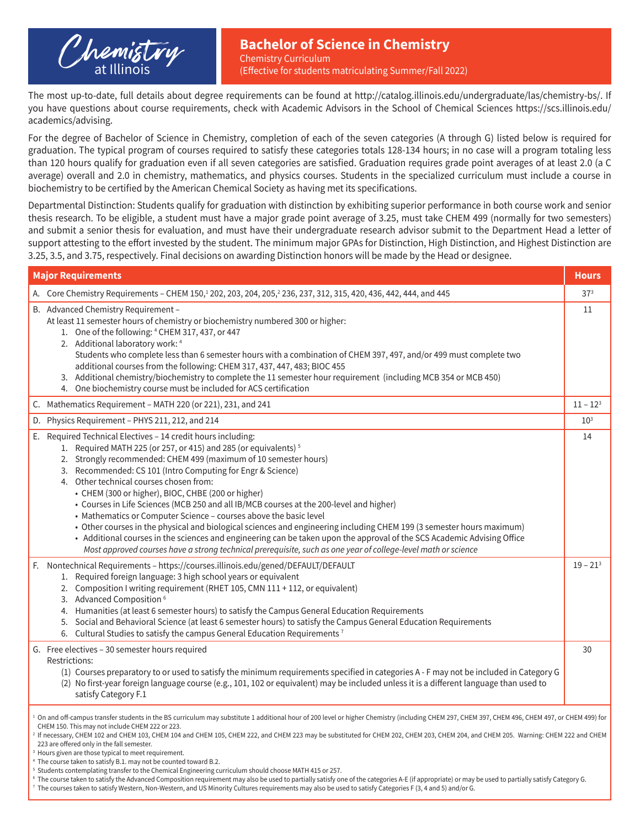

(Effective for students matriculating Summer/Fall 2022)

The most up-to-date, full details about degree requirements can be found at http://catalog.illinois.edu/undergraduate/las/chemistry-bs/. If you have questions about course requirements, check with Academic Advisors in the School of Chemical Sciences https://scs.illinois.edu/ academics/advising.

For the degree of Bachelor of Science in Chemistry, completion of each of the seven categories (A through G) listed below is required for graduation. The typical program of courses required to satisfy these categories totals 128-134 hours; in no case will a program totaling less than 120 hours qualify for graduation even if all seven categories are satisfied. Graduation requires grade point averages of at least 2.0 (a C average) overall and 2.0 in chemistry, mathematics, and physics courses. Students in the specialized curriculum must include a course in biochemistry to be certified by the American Chemical Society as having met its specifications.

Departmental Distinction: Students qualify for graduation with distinction by exhibiting superior performance in both course work and senior thesis research. To be eligible, a student must have a major grade point average of 3.25, must take CHEM 499 (normally for two semesters) and submit a senior thesis for evaluation, and must have their undergraduate research advisor submit to the Department Head a letter of support attesting to the effort invested by the student. The minimum major GPAs for Distinction, High Distinction, and Highest Distinction are 3.25, 3.5, and 3.75, respectively. Final decisions on awarding Distinction honors will be made by the Head or designee.

| <b>Major Requirements</b>                                                                                                                                                                                                                                                                                                                                                                                                                                                                                                                                                                                                                                                                                                                                                              |                                                                                                                                                                                                                                                                                                                                                                                                                                                                                                                                                                                                                                                                                                                                                                                                                                                                                                                      |                 |  |  |
|----------------------------------------------------------------------------------------------------------------------------------------------------------------------------------------------------------------------------------------------------------------------------------------------------------------------------------------------------------------------------------------------------------------------------------------------------------------------------------------------------------------------------------------------------------------------------------------------------------------------------------------------------------------------------------------------------------------------------------------------------------------------------------------|----------------------------------------------------------------------------------------------------------------------------------------------------------------------------------------------------------------------------------------------------------------------------------------------------------------------------------------------------------------------------------------------------------------------------------------------------------------------------------------------------------------------------------------------------------------------------------------------------------------------------------------------------------------------------------------------------------------------------------------------------------------------------------------------------------------------------------------------------------------------------------------------------------------------|-----------------|--|--|
|                                                                                                                                                                                                                                                                                                                                                                                                                                                                                                                                                                                                                                                                                                                                                                                        | A. Core Chemistry Requirements - CHEM 150, <sup>1</sup> 202, 203, 204, 205, <sup>2</sup> 236, 237, 312, 315, 420, 436, 442, 444, and 445                                                                                                                                                                                                                                                                                                                                                                                                                                                                                                                                                                                                                                                                                                                                                                             | 37 <sup>3</sup> |  |  |
|                                                                                                                                                                                                                                                                                                                                                                                                                                                                                                                                                                                                                                                                                                                                                                                        | B. Advanced Chemistry Requirement -<br>At least 11 semester hours of chemistry or biochemistry numbered 300 or higher:<br>1. One of the following: 4 CHEM 317, 437, or 447<br>2. Additional laboratory work: 4<br>Students who complete less than 6 semester hours with a combination of CHEM 397, 497, and/or 499 must complete two<br>additional courses from the following: CHEM 317, 437, 447, 483; BIOC 455<br>3. Additional chemistry/biochemistry to complete the 11 semester hour requirement (including MCB 354 or MCB 450)<br>4. One biochemistry course must be included for ACS certification                                                                                                                                                                                                                                                                                                            | 11              |  |  |
|                                                                                                                                                                                                                                                                                                                                                                                                                                                                                                                                                                                                                                                                                                                                                                                        | C. Mathematics Requirement - MATH 220 (or 221), 231, and 241                                                                                                                                                                                                                                                                                                                                                                                                                                                                                                                                                                                                                                                                                                                                                                                                                                                         | $11 - 123$      |  |  |
|                                                                                                                                                                                                                                                                                                                                                                                                                                                                                                                                                                                                                                                                                                                                                                                        | D. Physics Requirement - PHYS 211, 212, and 214                                                                                                                                                                                                                                                                                                                                                                                                                                                                                                                                                                                                                                                                                                                                                                                                                                                                      | $10^{3}$        |  |  |
|                                                                                                                                                                                                                                                                                                                                                                                                                                                                                                                                                                                                                                                                                                                                                                                        | E. Required Technical Electives - 14 credit hours including:<br>1. Required MATH 225 (or 257, or 415) and 285 (or equivalents) <sup>5</sup><br>2. Strongly recommended: CHEM 499 (maximum of 10 semester hours)<br>3. Recommended: CS 101 (Intro Computing for Engr & Science)<br>4. Other technical courses chosen from:<br>• CHEM (300 or higher), BIOC, CHBE (200 or higher)<br>• Courses in Life Sciences (MCB 250 and all IB/MCB courses at the 200-level and higher)<br>• Mathematics or Computer Science - courses above the basic level<br>• Other courses in the physical and biological sciences and engineering including CHEM 199 (3 semester hours maximum)<br>• Additional courses in the sciences and engineering can be taken upon the approval of the SCS Academic Advising Office<br>Most approved courses have a strong technical prerequisite, such as one year of college-level math or science | 14              |  |  |
|                                                                                                                                                                                                                                                                                                                                                                                                                                                                                                                                                                                                                                                                                                                                                                                        | F. Nontechnical Requirements - https://courses.illinois.edu/gened/DEFAULT/DEFAULT<br>1. Required foreign language: 3 high school years or equivalent<br>2. Composition I writing requirement (RHET 105, CMN 111 + 112, or equivalent)<br>3. Advanced Composition <sup>6</sup><br>4. Humanities (at least 6 semester hours) to satisfy the Campus General Education Requirements<br>5. Social and Behavioral Science (at least 6 semester hours) to satisfy the Campus General Education Requirements<br>6. Cultural Studies to satisfy the campus General Education Requirements <sup>7</sup>                                                                                                                                                                                                                                                                                                                        | $19 - 213$      |  |  |
|                                                                                                                                                                                                                                                                                                                                                                                                                                                                                                                                                                                                                                                                                                                                                                                        | G. Free electives - 30 semester hours required<br>Restrictions:<br>(1) Courses preparatory to or used to satisfy the minimum requirements specified in categories A - F may not be included in Category G<br>(2) No first-year foreign language course (e.g., 101, 102 or equivalent) may be included unless it is a different language than used to<br>satisfy Category F.1                                                                                                                                                                                                                                                                                                                                                                                                                                                                                                                                         | 30              |  |  |
| <sup>1</sup> On and off-campus transfer students in the BS curriculum may substitute 1 additional hour of 200 level or higher Chemistry (including CHEM 297, CHEM 397, CHEM 496, CHEM 497, or CHEM 499) for<br>CHEM 150. This may not include CHEM 222 or 223.<br><sup>2</sup> If necessary, CHEM 102 and CHEM 103, CHEM 104 and CHEM 105, CHEM 222, and CHEM 223 may be substituted for CHEM 202, CHEM 203, CHEM 204, and CHEM 205. Warning: CHEM 222 and CHEM<br>223 are offered only in the fall semester.<br><sup>3</sup> Hours given are those typical to meet requirement.<br><sup>4</sup> The course taken to satisfy B.1. may not be counted toward B.2.<br><sup>5</sup> Students contemplating transfer to the Chemical Engineering curriculum should choose MATH 415 or 257. |                                                                                                                                                                                                                                                                                                                                                                                                                                                                                                                                                                                                                                                                                                                                                                                                                                                                                                                      |                 |  |  |

 $^{\rm 6}$  The course taken to satisfy the Advanced Composition requirement may also be used to partially satisfy one of the categories A-E (if appropriate) or may be used to partially satisfy Category G.

<sup>7</sup> The courses taken to satisfy Western, Non-Western, and US Minority Cultures requirements may also be used to satisfy Categories F (3, 4 and 5) and/or G.